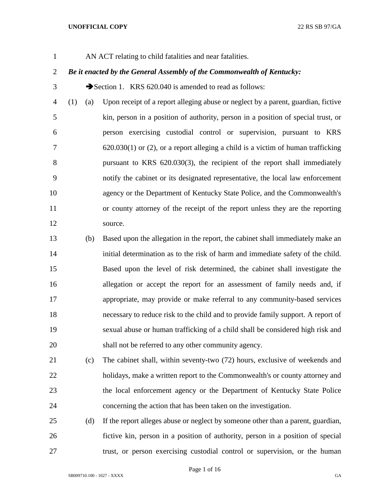AN ACT relating to child fatalities and near fatalities.

# *Be it enacted by the General Assembly of the Commonwealth of Kentucky:*

3 Section 1. KRS 620.040 is amended to read as follows:

 (1) (a) Upon receipt of a report alleging abuse or neglect by a parent, guardian, fictive kin, person in a position of authority, person in a position of special trust, or person exercising custodial control or supervision, pursuant to KRS 620.030(1) or (2), or a report alleging a child is a victim of human trafficking pursuant to KRS 620.030(3), the recipient of the report shall immediately notify the cabinet or its designated representative, the local law enforcement agency or the Department of Kentucky State Police, and the Commonwealth's or county attorney of the receipt of the report unless they are the reporting source.

 (b) Based upon the allegation in the report, the cabinet shall immediately make an initial determination as to the risk of harm and immediate safety of the child. Based upon the level of risk determined, the cabinet shall investigate the allegation or accept the report for an assessment of family needs and, if appropriate, may provide or make referral to any community-based services necessary to reduce risk to the child and to provide family support. A report of sexual abuse or human trafficking of a child shall be considered high risk and shall not be referred to any other community agency.

 (c) The cabinet shall, within seventy-two (72) hours, exclusive of weekends and holidays, make a written report to the Commonwealth's or county attorney and the local enforcement agency or the Department of Kentucky State Police concerning the action that has been taken on the investigation.

 (d) If the report alleges abuse or neglect by someone other than a parent, guardian, fictive kin, person in a position of authority, person in a position of special trust, or person exercising custodial control or supervision, or the human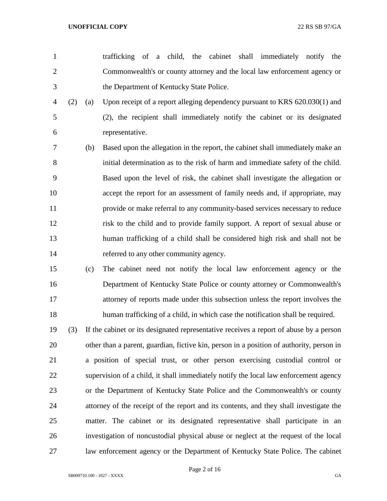trafficking of a child, the cabinet shall immediately notify the Commonwealth's or county attorney and the local law enforcement agency or the Department of Kentucky State Police.

- (2) (a) Upon receipt of a report alleging dependency pursuant to KRS 620.030(1) and (2), the recipient shall immediately notify the cabinet or its designated representative.
- (b) Based upon the allegation in the report, the cabinet shall immediately make an initial determination as to the risk of harm and immediate safety of the child. Based upon the level of risk, the cabinet shall investigate the allegation or accept the report for an assessment of family needs and, if appropriate, may provide or make referral to any community-based services necessary to reduce risk to the child and to provide family support. A report of sexual abuse or human trafficking of a child shall be considered high risk and shall not be referred to any other community agency.
- (c) The cabinet need not notify the local law enforcement agency or the Department of Kentucky State Police or county attorney or Commonwealth's attorney of reports made under this subsection unless the report involves the human trafficking of a child, in which case the notification shall be required.
- (3) If the cabinet or its designated representative receives a report of abuse by a person other than a parent, guardian, fictive kin, person in a position of authority, person in a position of special trust, or other person exercising custodial control or supervision of a child, it shall immediately notify the local law enforcement agency or the Department of Kentucky State Police and the Commonwealth's or county attorney of the receipt of the report and its contents, and they shall investigate the matter. The cabinet or its designated representative shall participate in an investigation of noncustodial physical abuse or neglect at the request of the local law enforcement agency or the Department of Kentucky State Police. The cabinet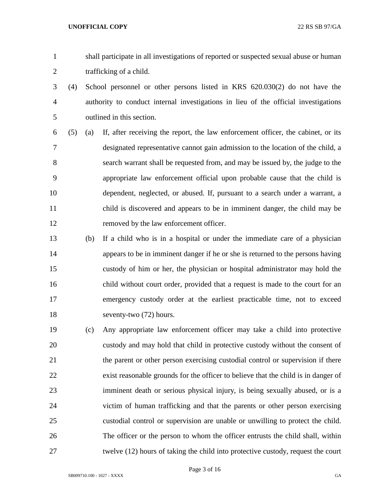- shall participate in all investigations of reported or suspected sexual abuse or human trafficking of a child.
- (4) School personnel or other persons listed in KRS 620.030(2) do not have the authority to conduct internal investigations in lieu of the official investigations outlined in this section.
- (5) (a) If, after receiving the report, the law enforcement officer, the cabinet, or its designated representative cannot gain admission to the location of the child, a search warrant shall be requested from, and may be issued by, the judge to the appropriate law enforcement official upon probable cause that the child is dependent, neglected, or abused. If, pursuant to a search under a warrant, a child is discovered and appears to be in imminent danger, the child may be removed by the law enforcement officer.
- (b) If a child who is in a hospital or under the immediate care of a physician appears to be in imminent danger if he or she is returned to the persons having custody of him or her, the physician or hospital administrator may hold the child without court order, provided that a request is made to the court for an emergency custody order at the earliest practicable time, not to exceed seventy-two (72) hours.
- (c) Any appropriate law enforcement officer may take a child into protective custody and may hold that child in protective custody without the consent of the parent or other person exercising custodial control or supervision if there exist reasonable grounds for the officer to believe that the child is in danger of imminent death or serious physical injury, is being sexually abused, or is a victim of human trafficking and that the parents or other person exercising custodial control or supervision are unable or unwilling to protect the child. The officer or the person to whom the officer entrusts the child shall, within twelve (12) hours of taking the child into protective custody, request the court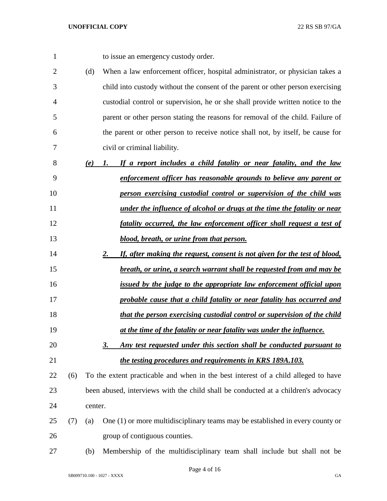to issue an emergency custody order.

- (d) When a law enforcement officer, hospital administrator, or physician takes a child into custody without the consent of the parent or other person exercising custodial control or supervision, he or she shall provide written notice to the parent or other person stating the reasons for removal of the child. Failure of the parent or other person to receive notice shall not, by itself, be cause for civil or criminal liability.
- *(e) 1. If a report includes a child fatality or near fatality, and the law enforcement officer has reasonable grounds to believe any parent or person exercising custodial control or supervision of the child was under the influence of alcohol or drugs at the time the fatality or near fatality occurred, the law enforcement officer shall request a test of blood, breath, or urine from that person.*
- *2. If, after making the request, consent is not given for the test of blood, breath, or urine, a search warrant shall be requested from and may be*
- *issued by the judge to the appropriate law enforcement official upon*
- *probable cause that a child fatality or near fatality has occurred and that the person exercising custodial control or supervision of the child*
- *at the time of the fatality or near fatality was under the influence.*
- *3. Any test requested under this section shall be conducted pursuant to the testing procedures and requirements in KRS 189A.103.*
- (6) To the extent practicable and when in the best interest of a child alleged to have been abused, interviews with the child shall be conducted at a children's advocacy center.
- (7) (a) One (1) or more multidisciplinary teams may be established in every county or group of contiguous counties.
- (b) Membership of the multidisciplinary team shall include but shall not be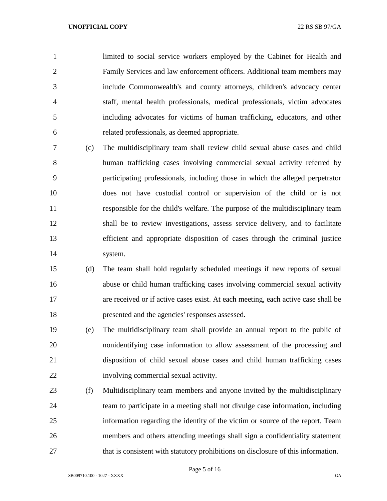limited to social service workers employed by the Cabinet for Health and Family Services and law enforcement officers. Additional team members may include Commonwealth's and county attorneys, children's advocacy center staff, mental health professionals, medical professionals, victim advocates including advocates for victims of human trafficking, educators, and other related professionals, as deemed appropriate.

- (c) The multidisciplinary team shall review child sexual abuse cases and child human trafficking cases involving commercial sexual activity referred by participating professionals, including those in which the alleged perpetrator does not have custodial control or supervision of the child or is not responsible for the child's welfare. The purpose of the multidisciplinary team shall be to review investigations, assess service delivery, and to facilitate efficient and appropriate disposition of cases through the criminal justice system.
- (d) The team shall hold regularly scheduled meetings if new reports of sexual abuse or child human trafficking cases involving commercial sexual activity are received or if active cases exist. At each meeting, each active case shall be presented and the agencies' responses assessed.
- (e) The multidisciplinary team shall provide an annual report to the public of nonidentifying case information to allow assessment of the processing and disposition of child sexual abuse cases and child human trafficking cases involving commercial sexual activity.
- (f) Multidisciplinary team members and anyone invited by the multidisciplinary team to participate in a meeting shall not divulge case information, including information regarding the identity of the victim or source of the report. Team members and others attending meetings shall sign a confidentiality statement that is consistent with statutory prohibitions on disclosure of this information.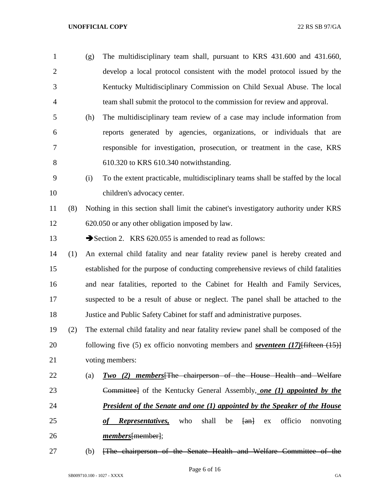- (g) The multidisciplinary team shall, pursuant to KRS 431.600 and 431.660, develop a local protocol consistent with the model protocol issued by the Kentucky Multidisciplinary Commission on Child Sexual Abuse. The local team shall submit the protocol to the commission for review and approval. (h) The multidisciplinary team review of a case may include information from reports generated by agencies, organizations, or individuals that are
- responsible for investigation, prosecution, or treatment in the case, KRS 610.320 to KRS 610.340 notwithstanding.
- (i) To the extent practicable, multidisciplinary teams shall be staffed by the local children's advocacy center.
- (8) Nothing in this section shall limit the cabinet's investigatory authority under KRS 620.050 or any other obligation imposed by law.

13 Section 2. KRS 620.055 is amended to read as follows:

- (1) An external child fatality and near fatality review panel is hereby created and established for the purpose of conducting comprehensive reviews of child fatalities and near fatalities, reported to the Cabinet for Health and Family Services, suspected to be a result of abuse or neglect. The panel shall be attached to the Justice and Public Safety Cabinet for staff and administrative purposes.
- (2) The external child fatality and near fatality review panel shall be composed of the following five (5) ex officio nonvoting members and *seventeen (17)*[fifteen (15)] voting members:
- (a) *Two (2) members*[The chairperson of the House Health and Welfare Committee] of the Kentucky General Assembly, *one (1) appointed by the President of the Senate and one (1) appointed by the Speaker of the House*  25 *of Representatives*, who shall be  $\{an\}$  ex officio nonvoting *members*[member];
- (b) [The chairperson of the Senate Health and Welfare Committee of the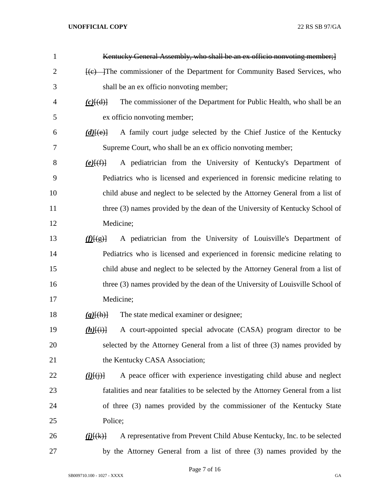| 1              | Kentucky General Assembly, who shall be an ex officio nonvoting member; {                                                                                                                                                                                                                                                                                                                                                                           |
|----------------|-----------------------------------------------------------------------------------------------------------------------------------------------------------------------------------------------------------------------------------------------------------------------------------------------------------------------------------------------------------------------------------------------------------------------------------------------------|
| $\overline{2}$ | <del>[(c) T</del> he commissioner of the Department for Community Based Services, who                                                                                                                                                                                                                                                                                                                                                               |
| 3              | shall be an ex officio nonvoting member;                                                                                                                                                                                                                                                                                                                                                                                                            |
| $\overline{4}$ | The commissioner of the Department for Public Health, who shall be an<br>$(c)$ $\{d\}$                                                                                                                                                                                                                                                                                                                                                              |
| 5              | ex officio nonvoting member;                                                                                                                                                                                                                                                                                                                                                                                                                        |
| 6              | A family court judge selected by the Chief Justice of the Kentucky<br>$(d)$ $\overline{e}$ $\overline{e}$ $\overline{e}$ $\overline{e}$ $\overline{e}$ $\overline{e}$ $\overline{e}$ $\overline{e}$ $\overline{e}$ $\overline{e}$ $\overline{e}$ $\overline{e}$ $\overline{e}$ $\overline{e}$ $\overline{e}$ $\overline{e}$ $\overline{e}$ $\overline{e}$ $\overline{e}$ $\overline{e}$ $\overline{e}$ $\overline{e}$ $\overline{e}$ $\overline{e}$ |
| 7              | Supreme Court, who shall be an ex officio nonvoting member;                                                                                                                                                                                                                                                                                                                                                                                         |
| 8              | A pediatrician from the University of Kentucky's Department of<br>$(e)$ $(f)$                                                                                                                                                                                                                                                                                                                                                                       |
| 9              | Pediatrics who is licensed and experienced in forensic medicine relating to                                                                                                                                                                                                                                                                                                                                                                         |
| 10             | child abuse and neglect to be selected by the Attorney General from a list of                                                                                                                                                                                                                                                                                                                                                                       |
| 11             | three (3) names provided by the dean of the University of Kentucky School of                                                                                                                                                                                                                                                                                                                                                                        |
| 12             | Medicine;                                                                                                                                                                                                                                                                                                                                                                                                                                           |
| 13             | A pediatrician from the University of Louisville's Department of<br>$f(\mathbf{E})$                                                                                                                                                                                                                                                                                                                                                                 |
| 14             | Pediatrics who is licensed and experienced in forensic medicine relating to                                                                                                                                                                                                                                                                                                                                                                         |
| 15             | child abuse and neglect to be selected by the Attorney General from a list of                                                                                                                                                                                                                                                                                                                                                                       |
| 16             | three (3) names provided by the dean of the University of Louisville School of                                                                                                                                                                                                                                                                                                                                                                      |
| 17             | Medicine;                                                                                                                                                                                                                                                                                                                                                                                                                                           |
| 18             | The state medical examiner or designee;<br>$(g)$ [(h)]                                                                                                                                                                                                                                                                                                                                                                                              |
| 19             | A court-appointed special advocate (CASA) program director to be<br>$(h)$ [(i)]                                                                                                                                                                                                                                                                                                                                                                     |
| 20             | selected by the Attorney General from a list of three (3) names provided by                                                                                                                                                                                                                                                                                                                                                                         |
| 21             | the Kentucky CASA Association;                                                                                                                                                                                                                                                                                                                                                                                                                      |
| 22             | A peace officer with experience investigating child abuse and neglect<br>$(i)$ $(i)$ $(i)$ $(i)$                                                                                                                                                                                                                                                                                                                                                    |
| 23             | fatalities and near fatalities to be selected by the Attorney General from a list                                                                                                                                                                                                                                                                                                                                                                   |
| 24             | of three (3) names provided by the commissioner of the Kentucky State                                                                                                                                                                                                                                                                                                                                                                               |
| 25             | Police;                                                                                                                                                                                                                                                                                                                                                                                                                                             |
| 26             | A representative from Prevent Child Abuse Kentucky, Inc. to be selected<br>$(\underline{i})$ $(\underline{k})$                                                                                                                                                                                                                                                                                                                                      |
| 27             | by the Attorney General from a list of three (3) names provided by the                                                                                                                                                                                                                                                                                                                                                                              |

Page 7 of 16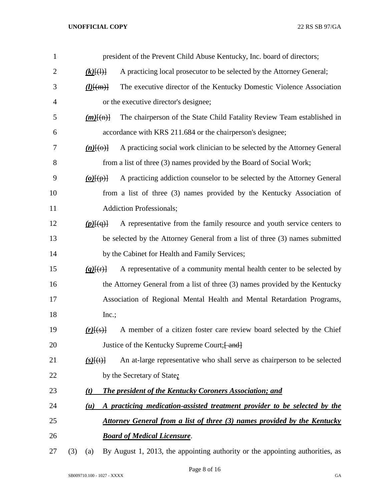| $\mathbf{1}$ |                        | president of the Prevent Child Abuse Kentucky, Inc. board of directors;                |
|--------------|------------------------|----------------------------------------------------------------------------------------|
| 2            | $(k)$ $\{(\cdot)\}$    | A practicing local prosecutor to be selected by the Attorney General;                  |
| 3            | $\underline{(l)$ [(m)] | The executive director of the Kentucky Domestic Violence Association                   |
| 4            |                        | or the executive director's designee;                                                  |
| 5            | $(m)$ [(n)]            | The chairperson of the State Child Fatality Review Team established in                 |
| 6            |                        | accordance with KRS 211.684 or the chairperson's designee;                             |
| 7            | $(n)$ [(o)]            | A practicing social work clinician to be selected by the Attorney General              |
| 8            |                        | from a list of three (3) names provided by the Board of Social Work;                   |
| 9            | $(o)$ [ $(p)$ ]        | A practicing addiction counselor to be selected by the Attorney General                |
| 10           |                        | from a list of three (3) names provided by the Kentucky Association of                 |
| 11           |                        | <b>Addiction Professionals;</b>                                                        |
| 12           | $(p)$ [ $(q)$ ]        | A representative from the family resource and youth service centers to                 |
| 13           |                        | be selected by the Attorney General from a list of three (3) names submitted           |
| 14           |                        | by the Cabinet for Health and Family Services;                                         |
| 15           | $(q)$ [(r)]            | A representative of a community mental health center to be selected by                 |
| 16           |                        | the Attorney General from a list of three (3) names provided by the Kentucky           |
| 17           |                        | Association of Regional Mental Health and Mental Retardation Programs,                 |
| 18           | Inc.;                  |                                                                                        |
| 19           | $(r)$ $\{s\}$          | A member of a citizen foster care review board selected by the Chief                   |
| 20           |                        | Justice of the Kentucky Supreme Court; [ and]                                          |
| 21           | $(s)$ [(t)]            | An at-large representative who shall serve as chairperson to be selected               |
| 22           |                        | by the Secretary of State:                                                             |
| 23           | (t)                    | <b>The president of the Kentucky Coroners Association; and</b>                         |
| 24           | (u)                    | A practicing medication-assisted treatment provider to be selected by the              |
| 25           |                        | Attorney General from a list of three (3) names provided by the Kentucky               |
| 26           |                        | <b>Board of Medical Licensure.</b>                                                     |
| 27           |                        | $(3)$ (a) By August 1, 2013, the appointing authority or the appointing authorities as |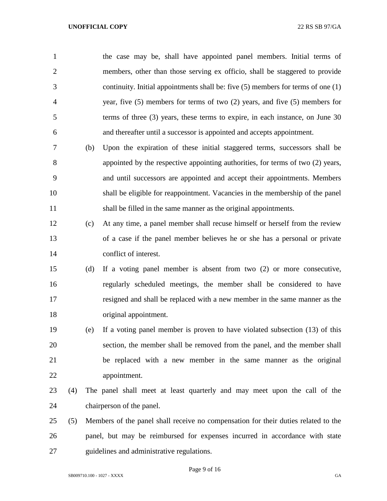| $\mathbf{1}$   |     |     | the case may be, shall have appointed panel members. Initial terms of                |
|----------------|-----|-----|--------------------------------------------------------------------------------------|
| $\overline{2}$ |     |     | members, other than those serving ex officio, shall be staggered to provide          |
| 3              |     |     | continuity. Initial appointments shall be: five $(5)$ members for terms of one $(1)$ |
| $\overline{4}$ |     |     | year, five $(5)$ members for terms of two $(2)$ years, and five $(5)$ members for    |
| 5              |     |     | terms of three $(3)$ years, these terms to expire, in each instance, on June 30      |
| 6              |     |     | and thereafter until a successor is appointed and accepts appointment.               |
| 7              |     | (b) | Upon the expiration of these initial staggered terms, successors shall be            |
| 8              |     |     | appointed by the respective appointing authorities, for terms of two (2) years,      |
| 9              |     |     | and until successors are appointed and accept their appointments. Members            |
| 10             |     |     | shall be eligible for reappointment. Vacancies in the membership of the panel        |
| 11             |     |     | shall be filled in the same manner as the original appointments.                     |
| 12             |     | (c) | At any time, a panel member shall recuse himself or herself from the review          |
| 13             |     |     | of a case if the panel member believes he or she has a personal or private           |
| 14             |     |     | conflict of interest.                                                                |
| 15             |     | (d) | If a voting panel member is absent from two $(2)$ or more consecutive,               |
| 16             |     |     | regularly scheduled meetings, the member shall be considered to have                 |
| 17             |     |     | resigned and shall be replaced with a new member in the same manner as the           |
| 18             |     |     | original appointment.                                                                |
| 19             |     | (e) | If a voting panel member is proven to have violated subsection (13) of this          |
| 20             |     |     | section, the member shall be removed from the panel, and the member shall            |
| 21             |     |     | be replaced with a new member in the same manner as the original                     |
| 22             |     |     | appointment.                                                                         |
| 23             | (4) |     | The panel shall meet at least quarterly and may meet upon the call of the            |
| 24             |     |     | chairperson of the panel.                                                            |
| 25             | (5) |     | Members of the panel shall receive no compensation for their duties related to the   |
| 26             |     |     | panel, but may be reimbursed for expenses incurred in accordance with state          |
| 27             |     |     | guidelines and administrative regulations.                                           |

Page 9 of 16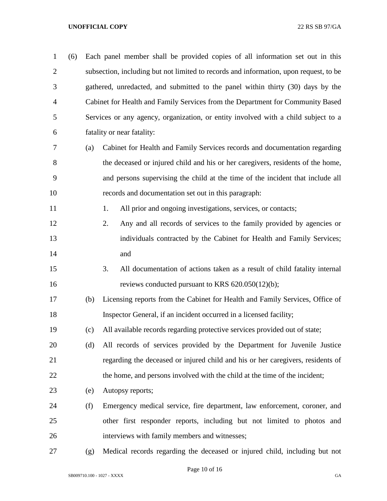| $\mathbf{1}$   | (6) |     | Each panel member shall be provided copies of all information set out in this         |
|----------------|-----|-----|---------------------------------------------------------------------------------------|
| $\overline{2}$ |     |     | subsection, including but not limited to records and information, upon request, to be |
| 3              |     |     | gathered, unredacted, and submitted to the panel within thirty (30) days by the       |
| $\overline{4}$ |     |     | Cabinet for Health and Family Services from the Department for Community Based        |
| 5              |     |     | Services or any agency, organization, or entity involved with a child subject to a    |
| 6              |     |     | fatality or near fatality:                                                            |
| 7              |     | (a) | Cabinet for Health and Family Services records and documentation regarding            |
| 8              |     |     | the deceased or injured child and his or her caregivers, residents of the home,       |
| 9              |     |     | and persons supervising the child at the time of the incident that include all        |
| 10             |     |     | records and documentation set out in this paragraph:                                  |
| 11             |     |     | All prior and ongoing investigations, services, or contacts;<br>1.                    |
| 12             |     |     | Any and all records of services to the family provided by agencies or<br>2.           |
| 13             |     |     | individuals contracted by the Cabinet for Health and Family Services;                 |
| 14             |     |     | and                                                                                   |
| 15             |     |     | 3.<br>All documentation of actions taken as a result of child fatality internal       |
| 16             |     |     | reviews conducted pursuant to KRS 620.050(12)(b);                                     |
| 17             |     | (b) | Licensing reports from the Cabinet for Health and Family Services, Office of          |
| 18             |     |     | Inspector General, if an incident occurred in a licensed facility;                    |
| 19             |     | (c) | All available records regarding protective services provided out of state;            |
| 20             |     | (d) | All records of services provided by the Department for Juvenile Justice               |
| 21             |     |     | regarding the deceased or injured child and his or her caregivers, residents of       |
| 22             |     |     | the home, and persons involved with the child at the time of the incident;            |
| 23             |     | (e) | Autopsy reports;                                                                      |
| 24             |     | (f) | Emergency medical service, fire department, law enforcement, coroner, and             |
| 25             |     |     | other first responder reports, including but not limited to photos and                |
| 26             |     |     | interviews with family members and witnesses;                                         |
| 27             |     | (g) | Medical records regarding the deceased or injured child, including but not            |

Page 10 of 16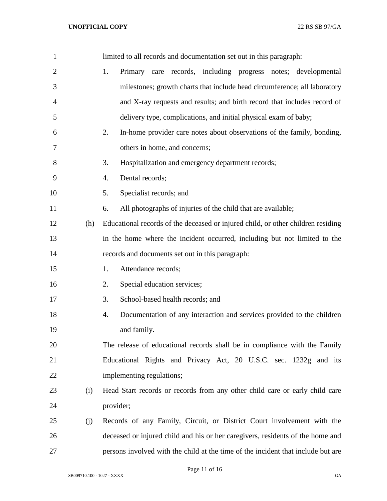| $\mathbf{1}$   |     | limited to all records and documentation set out in this paragraph:              |
|----------------|-----|----------------------------------------------------------------------------------|
| $\overline{2}$ |     | Primary care records, including progress notes; developmental<br>1.              |
| 3              |     | milestones; growth charts that include head circumference; all laboratory        |
| $\overline{4}$ |     | and X-ray requests and results; and birth record that includes record of         |
| 5              |     | delivery type, complications, and initial physical exam of baby;                 |
| 6              |     | In-home provider care notes about observations of the family, bonding,<br>2.     |
| 7              |     | others in home, and concerns;                                                    |
| 8              |     | Hospitalization and emergency department records;<br>3.                          |
| 9              |     | Dental records;<br>4.                                                            |
| 10             |     | Specialist records; and<br>5.                                                    |
| 11             |     | All photographs of injuries of the child that are available;<br>6.               |
| 12             | (h) | Educational records of the deceased or injured child, or other children residing |
| 13             |     | in the home where the incident occurred, including but not limited to the        |
| 14             |     | records and documents set out in this paragraph:                                 |
| 15             |     | Attendance records;<br>1.                                                        |
| 16             |     | Special education services;<br>2.                                                |
| 17             |     | School-based health records; and<br>3.                                           |
| 18             |     | Documentation of any interaction and services provided to the children<br>4.     |
| 19             |     | and family.                                                                      |
| 20             |     | The release of educational records shall be in compliance with the Family        |
| 21             |     | Educational Rights and Privacy Act, 20 U.S.C. sec. 1232g and its                 |
| 22             |     | implementing regulations;                                                        |
| 23             | (i) | Head Start records or records from any other child care or early child care      |
| 24             |     | provider;                                                                        |
| 25             | (j) | Records of any Family, Circuit, or District Court involvement with the           |
| 26             |     | deceased or injured child and his or her caregivers, residents of the home and   |
| 27             |     | persons involved with the child at the time of the incident that include but are |

Page 11 of 16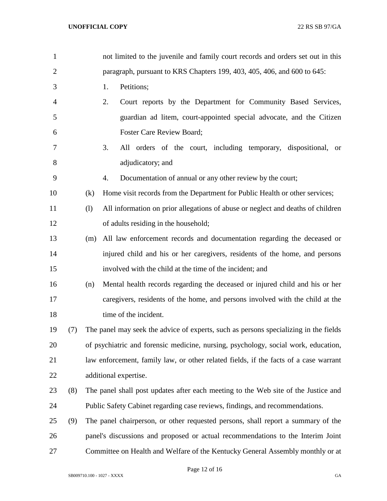| $\mathbf{1}$   |     |     | not limited to the juvenile and family court records and orders set out in this      |
|----------------|-----|-----|--------------------------------------------------------------------------------------|
| $\overline{c}$ |     |     | paragraph, pursuant to KRS Chapters 199, 403, 405, 406, and 600 to 645:              |
| 3              |     |     | Petitions;<br>1.                                                                     |
| 4              |     |     | 2.<br>Court reports by the Department for Community Based Services,                  |
| 5              |     |     | guardian ad litem, court-appointed special advocate, and the Citizen                 |
| 6              |     |     | <b>Foster Care Review Board;</b>                                                     |
| 7              |     |     | 3.<br>All orders of the court, including temporary, dispositional,<br><b>or</b>      |
| 8              |     |     | adjudicatory; and                                                                    |
| 9              |     |     | Documentation of annual or any other review by the court;<br>4.                      |
| 10             |     | (k) | Home visit records from the Department for Public Health or other services;          |
| 11             |     | (1) | All information on prior allegations of abuse or neglect and deaths of children      |
| 12             |     |     | of adults residing in the household;                                                 |
| 13             |     | (m) | All law enforcement records and documentation regarding the deceased or              |
| 14             |     |     | injured child and his or her caregivers, residents of the home, and persons          |
| 15             |     |     | involved with the child at the time of the incident; and                             |
| 16             |     | (n) | Mental health records regarding the deceased or injured child and his or her         |
| 17             |     |     | caregivers, residents of the home, and persons involved with the child at the        |
| 18             |     |     | time of the incident.                                                                |
| 19             | (7) |     | The panel may seek the advice of experts, such as persons specializing in the fields |
| 20             |     |     | of psychiatric and forensic medicine, nursing, psychology, social work, education,   |
| 21             |     |     | law enforcement, family law, or other related fields, if the facts of a case warrant |
| 22             |     |     | additional expertise.                                                                |
| 23             | (8) |     | The panel shall post updates after each meeting to the Web site of the Justice and   |
| 24             |     |     | Public Safety Cabinet regarding case reviews, findings, and recommendations.         |
| 25             | (9) |     | The panel chairperson, or other requested persons, shall report a summary of the     |
| 26             |     |     | panel's discussions and proposed or actual recommendations to the Interim Joint      |
| 27             |     |     | Committee on Health and Welfare of the Kentucky General Assembly monthly or at       |

Page 12 of 16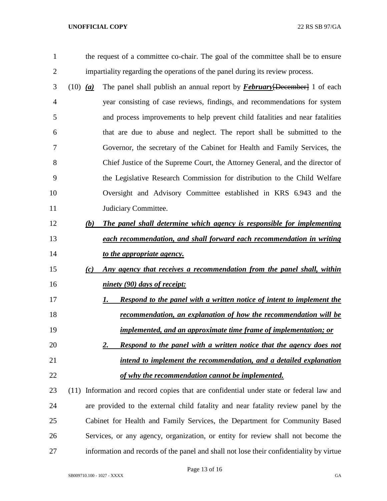the request of a committee co-chair. The goal of the committee shall be to ensure impartiality regarding the operations of the panel during its review process.

- (10) *(a)* The panel shall publish an annual report by *February*[December] 1 of each year consisting of case reviews, findings, and recommendations for system and process improvements to help prevent child fatalities and near fatalities that are due to abuse and neglect. The report shall be submitted to the Governor, the secretary of the Cabinet for Health and Family Services, the Chief Justice of the Supreme Court, the Attorney General, and the director of the Legislative Research Commission for distribution to the Child Welfare Oversight and Advisory Committee established in KRS 6.943 and the 11 Judiciary Committee.
- *(b) The panel shall determine which agency is responsible for implementing each recommendation, and shall forward each recommendation in writing to the appropriate agency.*
- *(c) Any agency that receives a recommendation from the panel shall, within ninety (90) days of receipt:*
- *1. Respond to the panel with a written notice of intent to implement the recommendation, an explanation of how the recommendation will be implemented, and an approximate time frame of implementation; or*
- *2. Respond to the panel with a written notice that the agency does not intend to implement the recommendation, and a detailed explanation of why the recommendation cannot be implemented.*
- (11) Information and record copies that are confidential under state or federal law and are provided to the external child fatality and near fatality review panel by the Cabinet for Health and Family Services, the Department for Community Based Services, or any agency, organization, or entity for review shall not become the information and records of the panel and shall not lose their confidentiality by virtue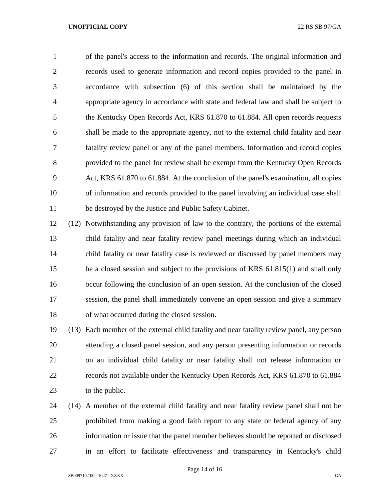of the panel's access to the information and records. The original information and records used to generate information and record copies provided to the panel in accordance with subsection (6) of this section shall be maintained by the appropriate agency in accordance with state and federal law and shall be subject to the Kentucky Open Records Act, KRS 61.870 to 61.884. All open records requests shall be made to the appropriate agency, not to the external child fatality and near fatality review panel or any of the panel members. Information and record copies provided to the panel for review shall be exempt from the Kentucky Open Records Act, KRS 61.870 to 61.884. At the conclusion of the panel's examination, all copies of information and records provided to the panel involving an individual case shall be destroyed by the Justice and Public Safety Cabinet.

 (12) Notwithstanding any provision of law to the contrary, the portions of the external child fatality and near fatality review panel meetings during which an individual child fatality or near fatality case is reviewed or discussed by panel members may be a closed session and subject to the provisions of KRS 61.815(1) and shall only occur following the conclusion of an open session. At the conclusion of the closed session, the panel shall immediately convene an open session and give a summary of what occurred during the closed session.

 (13) Each member of the external child fatality and near fatality review panel, any person attending a closed panel session, and any person presenting information or records on an individual child fatality or near fatality shall not release information or records not available under the Kentucky Open Records Act, KRS 61.870 to 61.884 23 to the public.

 (14) A member of the external child fatality and near fatality review panel shall not be prohibited from making a good faith report to any state or federal agency of any information or issue that the panel member believes should be reported or disclosed in an effort to facilitate effectiveness and transparency in Kentucky's child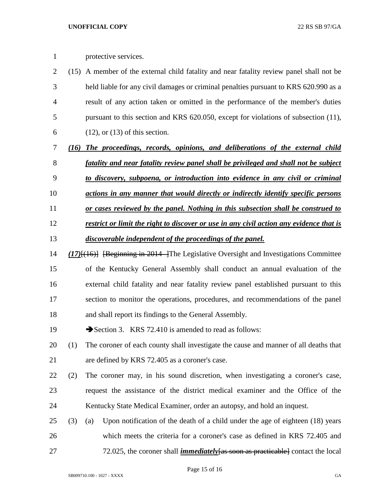protective services.

- (15) A member of the external child fatality and near fatality review panel shall not be held liable for any civil damages or criminal penalties pursuant to KRS 620.990 as a result of any action taken or omitted in the performance of the member's duties pursuant to this section and KRS 620.050, except for violations of subsection (11), 6 (12), or  $(13)$  of this section.
- *(16) The proceedings, records, opinions, and deliberations of the external child fatality and near fatality review panel shall be privileged and shall not be subject*
- *to discovery, subpoena, or introduction into evidence in any civil or criminal*
- *actions in any manner that would directly or indirectly identify specific persons*
- *or cases reviewed by the panel. Nothing in this subsection shall be construed to*
- *restrict or limit the right to discover or use in any civil action any evidence that is*
- *discoverable independent of the proceedings of the panel.*
- *(17)*[(16)] [Beginning in 2014 ]The Legislative Oversight and Investigations Committee of the Kentucky General Assembly shall conduct an annual evaluation of the external child fatality and near fatality review panel established pursuant to this section to monitor the operations, procedures, and recommendations of the panel and shall report its findings to the General Assembly.
- 19 Section 3. KRS 72.410 is amended to read as follows:
- (1) The coroner of each county shall investigate the cause and manner of all deaths that are defined by KRS 72.405 as a coroner's case.
- (2) The coroner may, in his sound discretion, when investigating a coroner's case, request the assistance of the district medical examiner and the Office of the Kentucky State Medical Examiner, order an autopsy, and hold an inquest.
- (3) (a) Upon notification of the death of a child under the age of eighteen (18) years which meets the criteria for a coroner's case as defined in KRS 72.405 and 72.025, the coroner shall *immediately*[as soon as practicable] contact the local